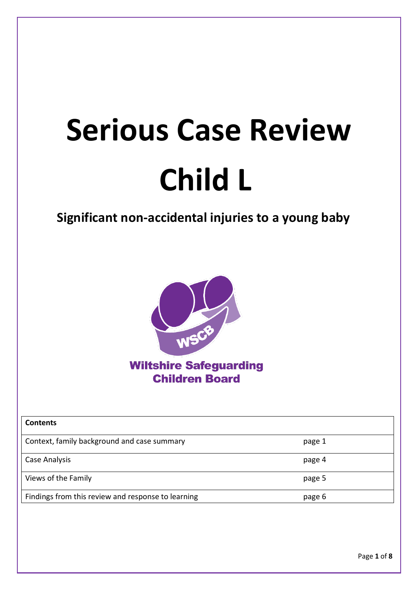# **Serious Case Review Child L**

# **Significant non-accidental injuries to a young baby**



**Wiltshire Safeguarding Children Board** 

| <b>Contents</b>                                    |        |
|----------------------------------------------------|--------|
| Context, family background and case summary        | page 1 |
| Case Analysis                                      | page 4 |
| Views of the Family                                | page 5 |
| Findings from this review and response to learning | page 6 |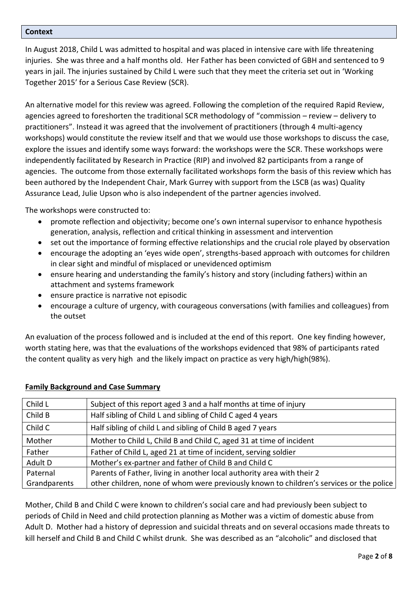#### **Context**

In August 2018, Child L was admitted to hospital and was placed in intensive care with life threatening injuries. She was three and a half months old. Her Father has been convicted of GBH and sentenced to 9 years in jail. The injuries sustained by Child L were such that they meet the criteria set out in 'Working Together 2015' for a Serious Case Review (SCR).

An alternative model for this review was agreed. Following the completion of the required Rapid Review, agencies agreed to foreshorten the traditional SCR methodology of "commission – review – delivery to practitioners". Instead it was agreed that the involvement of practitioners (through 4 multi-agency workshops) would constitute the review itself and that we would use those workshops to discuss the case, explore the issues and identify some ways forward: the workshops were the SCR. These workshops were independently facilitated by Research in Practice (RIP) and involved 82 participants from a range of agencies. The outcome from those externally facilitated workshops form the basis of this review which has been authored by the Independent Chair, Mark Gurrey with support from the LSCB (as was) Quality Assurance Lead, Julie Upson who is also independent of the partner agencies involved.

The workshops were constructed to:

- promote reflection and objectivity; become one's own internal supervisor to enhance hypothesis generation, analysis, reflection and critical thinking in assessment and intervention
- set out the importance of forming effective relationships and the crucial role played by observation
- encourage the adopting an 'eyes wide open', strengths-based approach with outcomes for children in clear sight and mindful of misplaced or unevidenced optimism
- ensure hearing and understanding the family's history and story (including fathers) within an attachment and systems framework
- ensure practice is narrative not episodic
- encourage a culture of urgency, with courageous conversations (with families and colleagues) from the outset

An evaluation of the process followed and is included at the end of this report. One key finding however, worth stating here, was that the evaluations of the workshops evidenced that 98% of participants rated the content quality as very high and the likely impact on practice as very high/high(98%).

| Child L      | Subject of this report aged 3 and a half months at time of injury                       |
|--------------|-----------------------------------------------------------------------------------------|
| Child B      | Half sibling of Child L and sibling of Child C aged 4 years                             |
| Child C      | Half sibling of child L and sibling of Child B aged 7 years                             |
| Mother       | Mother to Child L, Child B and Child C, aged 31 at time of incident                     |
| Father       | Father of Child L, aged 21 at time of incident, serving soldier                         |
| Adult D      | Mother's ex-partner and father of Child B and Child C                                   |
| Paternal     | Parents of Father, living in another local authority area with their 2                  |
| Grandparents | other children, none of whom were previously known to children's services or the police |
|              |                                                                                         |

#### **Family Background and Case Summary**

Mother, Child B and Child C were known to children's social care and had previously been subject to periods of Child in Need and child protection planning as Mother was a victim of domestic abuse from Adult D. Mother had a history of depression and suicidal threats and on several occasions made threats to kill herself and Child B and Child C whilst drunk. She was described as an "alcoholic" and disclosed that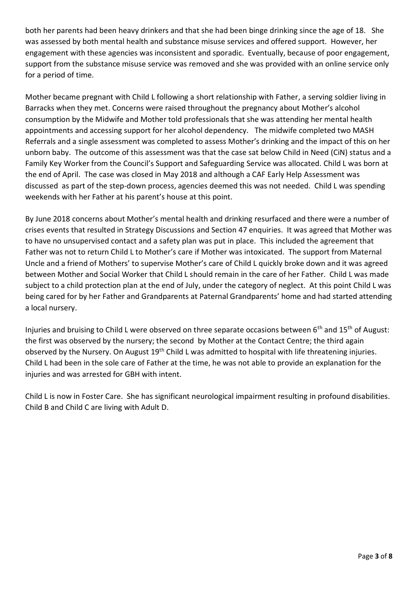both her parents had been heavy drinkers and that she had been binge drinking since the age of 18. She was assessed by both mental health and substance misuse services and offered support. However, her engagement with these agencies was inconsistent and sporadic. Eventually, because of poor engagement, support from the substance misuse service was removed and she was provided with an online service only for a period of time.

Mother became pregnant with Child L following a short relationship with Father, a serving soldier living in Barracks when they met. Concerns were raised throughout the pregnancy about Mother's alcohol consumption by the Midwife and Mother told professionals that she was attending her mental health appointments and accessing support for her alcohol dependency. The midwife completed two MASH Referrals and a single assessment was completed to assess Mother's drinking and the impact of this on her unborn baby. The outcome of this assessment was that the case sat below Child in Need (CiN) status and a Family Key Worker from the Council's Support and Safeguarding Service was allocated. Child L was born at the end of April. The case was closed in May 2018 and although a CAF Early Help Assessment was discussed as part of the step-down process, agencies deemed this was not needed. Child L was spending weekends with her Father at his parent's house at this point.

By June 2018 concerns about Mother's mental health and drinking resurfaced and there were a number of crises events that resulted in Strategy Discussions and Section 47 enquiries. It was agreed that Mother was to have no unsupervised contact and a safety plan was put in place. This included the agreement that Father was not to return Child L to Mother's care if Mother was intoxicated. The support from Maternal Uncle and a friend of Mothers' to supervise Mother's care of Child L quickly broke down and it was agreed between Mother and Social Worker that Child L should remain in the care of her Father. Child L was made subject to a child protection plan at the end of July, under the category of neglect. At this point Child L was being cared for by her Father and Grandparents at Paternal Grandparents' home and had started attending a local nursery.

Injuries and bruising to Child L were observed on three separate occasions between 6<sup>th</sup> and 15<sup>th</sup> of August: the first was observed by the nursery; the second by Mother at the Contact Centre; the third again observed by the Nursery. On August 19<sup>th</sup> Child L was admitted to hospital with life threatening injuries. Child L had been in the sole care of Father at the time, he was not able to provide an explanation for the injuries and was arrested for GBH with intent.

Child L is now in Foster Care. She has significant neurological impairment resulting in profound disabilities. Child B and Child C are living with Adult D.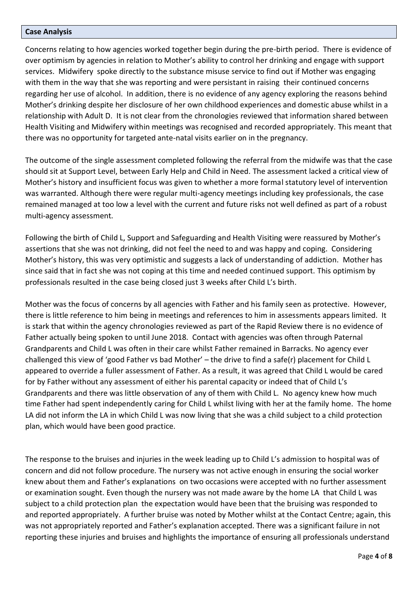#### **Case Analysis**

Concerns relating to how agencies worked together begin during the pre-birth period. There is evidence of over optimism by agencies in relation to Mother's ability to control her drinking and engage with support services. Midwifery spoke directly to the substance misuse service to find out if Mother was engaging with them in the way that she was reporting and were persistant in raising their continued concerns regarding her use of alcohol. In addition, there is no evidence of any agency exploring the reasons behind Mother's drinking despite her disclosure of her own childhood experiences and domestic abuse whilst in a relationship with Adult D. It is not clear from the chronologies reviewed that information shared between Health Visiting and Midwifery within meetings was recognised and recorded appropriately. This meant that there was no opportunity for targeted ante-natal visits earlier on in the pregnancy.

The outcome of the single assessment completed following the referral from the midwife was that the case should sit at Support Level, between Early Help and Child in Need. The assessment lacked a critical view of Mother's history and insufficient focus was given to whether a more formal statutory level of intervention was warranted. Although there were regular multi-agency meetings including key professionals, the case remained managed at too low a level with the current and future risks not well defined as part of a robust multi-agency assessment.

Following the birth of Child L, Support and Safeguarding and Health Visiting were reassured by Mother's assertions that she was not drinking, did not feel the need to and was happy and coping. Considering Mother's history, this was very optimistic and suggests a lack of understanding of addiction. Mother has since said that in fact she was not coping at this time and needed continued support. This optimism by professionals resulted in the case being closed just 3 weeks after Child L's birth.

Mother was the focus of concerns by all agencies with Father and his family seen as protective. However, there is little reference to him being in meetings and references to him in assessments appears limited. It is stark that within the agency chronologies reviewed as part of the Rapid Review there is no evidence of Father actually being spoken to until June 2018. Contact with agencies was often through Paternal Grandparents and Child L was often in their care whilst Father remained in Barracks. No agency ever challenged this view of 'good Father vs bad Mother' – the drive to find a safe(r) placement for Child L appeared to override a fuller assessment of Father. As a result, it was agreed that Child L would be cared for by Father without any assessment of either his parental capacity or indeed that of Child L's Grandparents and there was little observation of any of them with Child L. No agency knew how much time Father had spent independently caring for Child L whilst living with her at the family home. The home LA did not inform the LA in which Child L was now living that she was a child subject to a child protection plan, which would have been good practice.

The response to the bruises and injuries in the week leading up to Child L's admission to hospital was of concern and did not follow procedure. The nursery was not active enough in ensuring the social worker knew about them and Father's explanations on two occasions were accepted with no further assessment or examination sought. Even though the nursery was not made aware by the home LA that Child L was subject to a child protection plan the expectation would have been that the bruising was responded to and reported appropriately.A further bruise was noted by Mother whilst at the Contact Centre; again, this was not appropriately reported and Father's explanation accepted. There was a significant failure in not reporting these injuries and bruises and highlights the importance of ensuring all professionals understand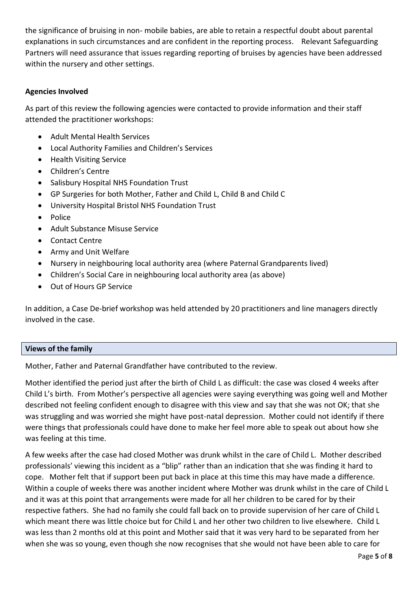the significance of bruising in non- mobile babies, are able to retain a respectful doubt about parental explanations in such circumstances and are confident in the reporting process. Relevant Safeguarding Partners will need assurance that issues regarding reporting of bruises by agencies have been addressed within the nursery and other settings.

## **Agencies Involved**

As part of this review the following agencies were contacted to provide information and their staff attended the practitioner workshops:

- Adult Mental Health Services
- Local Authority Families and Children's Services
- Health Visiting Service
- Children's Centre
- Salisbury Hospital NHS Foundation Trust
- GP Surgeries for both Mother, Father and Child L, Child B and Child C
- University Hospital Bristol NHS Foundation Trust
- Police
- Adult Substance Misuse Service
- Contact Centre
- Army and Unit Welfare
- Nursery in neighbouring local authority area (where Paternal Grandparents lived)
- Children's Social Care in neighbouring local authority area (as above)
- Out of Hours GP Service

In addition, a Case De-brief workshop was held attended by 20 practitioners and line managers directly involved in the case.

#### **Views of the family**

Mother, Father and Paternal Grandfather have contributed to the review.

Mother identified the period just after the birth of Child L as difficult: the case was closed 4 weeks after Child L's birth. From Mother's perspective all agencies were saying everything was going well and Mother described not feeling confident enough to disagree with this view and say that she was not OK; that she was struggling and was worried she might have post-natal depression. Mother could not identify if there were things that professionals could have done to make her feel more able to speak out about how she was feeling at this time.

A few weeks after the case had closed Mother was drunk whilst in the care of Child L. Mother described professionals' viewing this incident as a "blip" rather than an indication that she was finding it hard to cope. Mother felt that if support been put back in place at this time this may have made a difference. Within a couple of weeks there was another incident where Mother was drunk whilst in the care of Child L and it was at this point that arrangements were made for all her children to be cared for by their respective fathers. She had no family she could fall back on to provide supervision of her care of Child L which meant there was little choice but for Child L and her other two children to live elsewhere. Child L was less than 2 months old at this point and Mother said that it was very hard to be separated from her when she was so young, even though she now recognises that she would not have been able to care for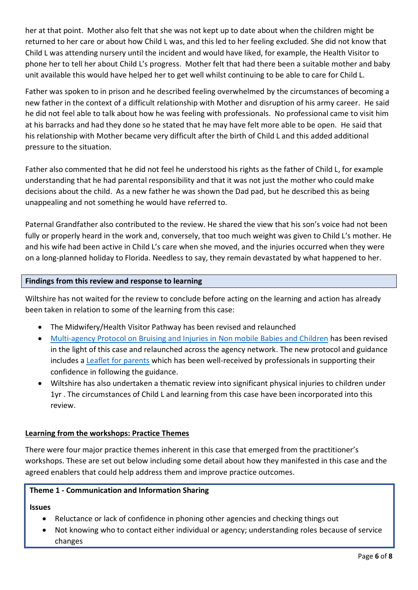her at that point. Mother also felt that she was not kept up to date about when the children might be returned to her care or about how Child L was, and this led to her feeling excluded. She did not know that Child L was attending nursery until the incident and would have liked, for example, the Health Visitor to phone her to tell her about Child L's progress. Mother felt that had there been a suitable mother and baby unit available this would have helped her to get well whilst continuing to be able to care for Child L.

Father was spoken to in prison and he described feeling overwhelmed by the circumstances of becoming a new father in the context of a difficult relationship with Mother and disruption of his army career. He said he did not feel able to talk about how he was feeling with professionals. No professional came to visit him at his barracks and had they done so he stated that he may have felt more able to be open. He said that his relationship with Mother became very difficult after the birth of Child L and this added additional pressure to the situation.

Father also commented that he did not feel he understood his rights as the father of Child L, for example understanding that he had parental responsibility and that it was not just the mother who could make decisions about the child. As a new father he was shown the Dad pad, but he described this as being unappealing and not something he would have referred to.

Paternal Grandfather also contributed to the review. He shared the view that his son's voice had not been fully or properly heard in the work and, conversely, that too much weight was given to Child L's mother. He and his wife had been active in Child L's care when she moved, and the injuries occurred when they were on a long-planned holiday to Florida. Needless to say, they remain devastated by what happened to her.

# **Findings from this review and response to learning**

Wiltshire has not waited for the review to conclude before acting on the learning and action has already been taken in relation to some of the learning from this case:

- The Midwifery/Health Visitor Pathway has been revised and relaunched
- [Multi-agency Protocol on Bruising and Injuries in Non mobile Babies and Children](http://www.wiltshirescb.org.uk/wp-content/uploads/2019/02/FINAL-Multi-agency-guidance-Bruising-and-injuries_non-mobile.pdf) has been revised in the light of this case and relaunched across the agency network. The new protocol and guidance includes a [Leaflet for parents](http://www.wiltshirescb.org.uk/wp-content/uploads/2019/02/Bruising-Protocol-Leaflet-for-parents.pdf) which has been well-received by professionals in supporting their confidence in following the guidance.
- Wiltshire has also undertaken a thematic review into significant physical injuries to children under 1yr . The circumstances of Child L and learning from this case have been incorporated into this review.

# **Learning from the workshops: Practice Themes**

There were four major practice themes inherent in this case that emerged from the practitioner's workshops. These are set out below including some detail about how they manifested in this case and the agreed enablers that could help address them and improve practice outcomes.

## **Theme 1 - Communication and Information Sharing**

**Issues** 

- Reluctance or lack of confidence in phoning other agencies and checking things out
- Not knowing who to contact either individual or agency; understanding roles because of service changes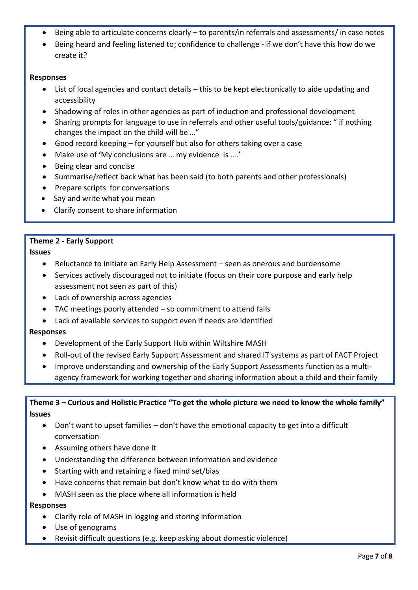- Being able to articulate concerns clearly to parents/in referrals and assessments/ in case notes
- Being heard and feeling listened to; confidence to challenge if we don't have this how do we create it?

#### **Responses**

- List of local agencies and contact details this to be kept electronically to aide updating and accessibility
- Shadowing of roles in other agencies as part of induction and professional development
- Sharing prompts for language to use in referrals and other useful tools/guidance: " if nothing changes the impact on the child will be …"
- Good record keeping for yourself but also for others taking over a case
- Make use of **'**My conclusions are … my evidence is ….'
- Being clear and concise
- Summarise/reflect back what has been said (to both parents and other professionals)
- Prepare scripts for conversations
- Say and write what you mean
- Clarify consent to share information

#### **Theme 2 - Early Support**

**Issues** 

- Reluctance to initiate an Early Help Assessment seen as onerous and burdensome
- Services actively discouraged not to initiate (focus on their core purpose and early help assessment not seen as part of this)
- Lack of ownership across agencies
- TAC meetings poorly attended so commitment to attend falls
- Lack of available services to support even if needs are identified

#### **Responses**

- Development of the Early Support Hub within Wiltshire MASH
- Roll-out of the revised Early Support Assessment and shared IT systems as part of FACT Project
- Improve understanding and ownership of the Early Support Assessments function as a multiagency framework for working together and sharing information about a child and their family

# **Theme 3 – Curious and Holistic Practice "To get the whole picture we need to know the whole family" Issues**

- Don't want to upset families don't have the emotional capacity to get into a difficult conversation
- Assuming others have done it
- Understanding the difference between information and evidence
- Starting with and retaining a fixed mind set/bias
- Have concerns that remain but don't know what to do with them
- MASH seen as the place where all information is held

#### **Responses**

- Clarify role of MASH in logging and storing information
- Use of genograms
- Revisit difficult questions (e.g. keep asking about domestic violence)